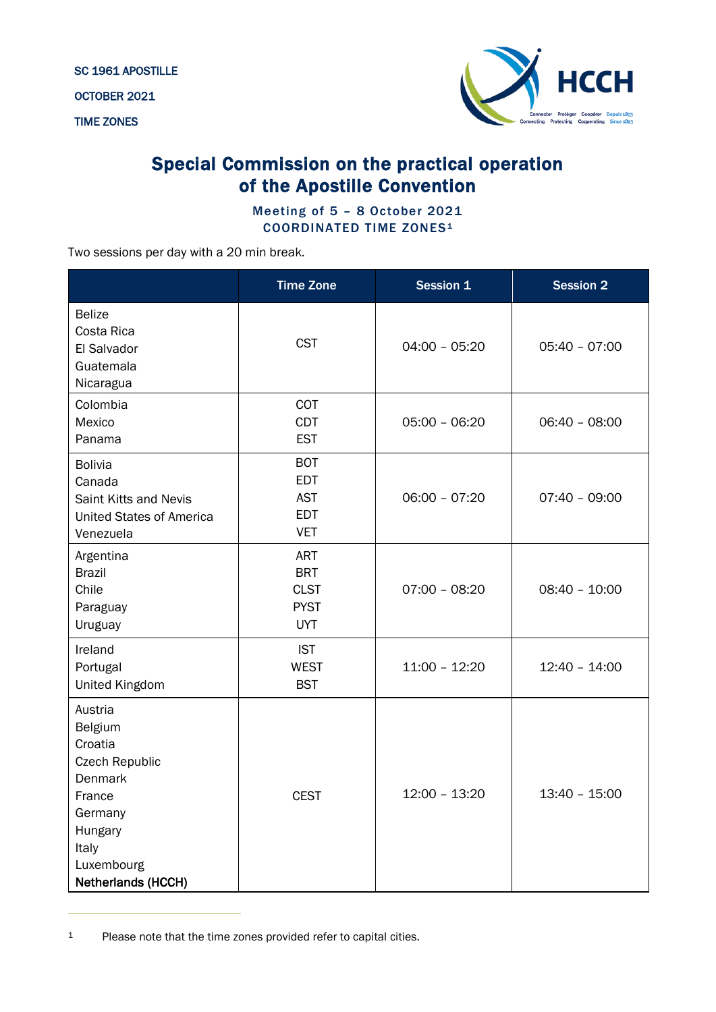SC 1961 APOSTILLE

OCTOBER 2021

TIME ZONES



## Special Commission on the practical operation of the Apostille Convention

Meeting of 5 – 8 October 2021 COORDINATED TIME ZONES<sup>[1](#page-0-0)</sup>

Two sessions per day with a 20 min break.

|                                                                                                                                                       | <b>Time Zone</b>                                                     | Session 1       | <b>Session 2</b> |
|-------------------------------------------------------------------------------------------------------------------------------------------------------|----------------------------------------------------------------------|-----------------|------------------|
| <b>Belize</b><br>Costa Rica<br>El Salvador<br>Guatemala<br>Nicaragua                                                                                  | <b>CST</b>                                                           | $04:00 - 05:20$ | $05:40 - 07:00$  |
| Colombia<br>Mexico<br>Panama                                                                                                                          | COT<br><b>CDT</b><br><b>EST</b>                                      | $05:00 - 06:20$ | $06:40 - 08:00$  |
| <b>Bolivia</b><br>Canada<br>Saint Kitts and Nevis<br><b>United States of America</b><br>Venezuela                                                     | <b>BOT</b><br><b>EDT</b><br><b>AST</b><br><b>EDT</b><br><b>VET</b>   | $06:00 - 07:20$ | $07:40 - 09:00$  |
| Argentina<br><b>Brazil</b><br>Chile<br>Paraguay<br>Uruguay                                                                                            | <b>ART</b><br><b>BRT</b><br><b>CLST</b><br><b>PYST</b><br><b>UYT</b> | $07:00 - 08:20$ | $08:40 - 10:00$  |
| Ireland<br>Portugal<br><b>United Kingdom</b>                                                                                                          | <b>IST</b><br><b>WEST</b><br><b>BST</b>                              | $11:00 - 12:20$ | $12:40 - 14:00$  |
| Austria<br>Belgium<br>Croatia<br><b>Czech Republic</b><br><b>Denmark</b><br>France<br>Germany<br>Hungary<br>Italy<br>Luxembourg<br>Netherlands (HCCH) | <b>CEST</b>                                                          | $12:00 - 13:20$ | $13:40 - 15:00$  |

<span id="page-0-0"></span><sup>1</sup> Please note that the time zones provided refer to capital cities.